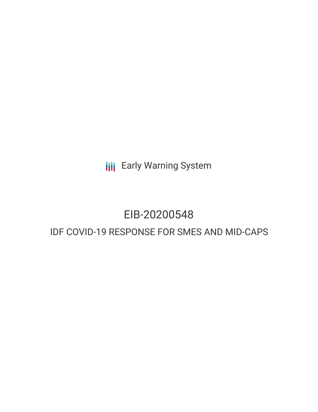**III** Early Warning System

## EIB-20200548

## IDF COVID-19 RESPONSE FOR SMES AND MID-CAPS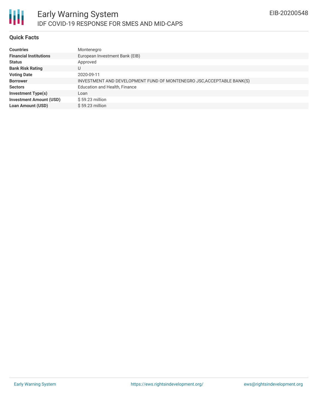

#### **Quick Facts**

| <b>Countries</b>               | Montenegro                                                            |
|--------------------------------|-----------------------------------------------------------------------|
| <b>Financial Institutions</b>  | European Investment Bank (EIB)                                        |
| <b>Status</b>                  | Approved                                                              |
| <b>Bank Risk Rating</b>        | U                                                                     |
| <b>Voting Date</b>             | 2020-09-11                                                            |
| <b>Borrower</b>                | INVESTMENT AND DEVELOPMENT FUND OF MONTENEGRO JSC, ACCEPTABLE BANK(S) |
| <b>Sectors</b>                 | <b>Education and Health, Finance</b>                                  |
| <b>Investment Type(s)</b>      | Loan                                                                  |
| <b>Investment Amount (USD)</b> | $$59.23$ million                                                      |
| <b>Loan Amount (USD)</b>       | $$59.23$ million                                                      |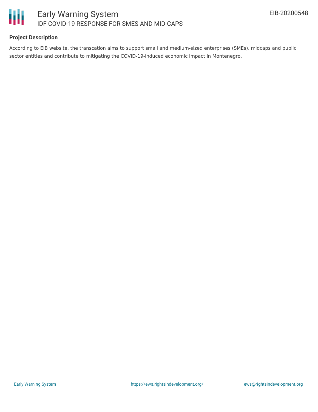

#### **Project Description**

According to EIB website, the transcation aims to support small and medium-sized enterprises (SMEs), midcaps and public sector entities and contribute to mitigating the COVID-19-induced economic impact in Montenegro.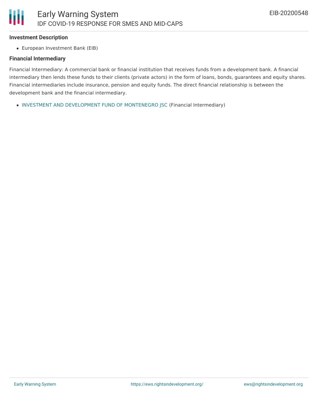#### **Investment Description**

European Investment Bank (EIB)

#### **Financial Intermediary**

Financial Intermediary: A commercial bank or financial institution that receives funds from a development bank. A financial intermediary then lends these funds to their clients (private actors) in the form of loans, bonds, guarantees and equity shares. Financial intermediaries include insurance, pension and equity funds. The direct financial relationship is between the development bank and the financial intermediary.

INVESTMENT AND [DEVELOPMENT](file:///actor/3109/) FUND OF MONTENEGRO JSC (Financial Intermediary)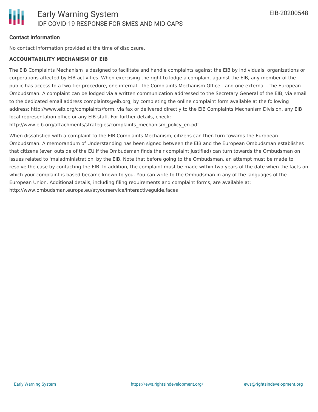#### **Contact Information**

No contact information provided at the time of disclosure.

#### **ACCOUNTABILITY MECHANISM OF EIB**

The EIB Complaints Mechanism is designed to facilitate and handle complaints against the EIB by individuals, organizations or corporations affected by EIB activities. When exercising the right to lodge a complaint against the EIB, any member of the public has access to a two-tier procedure, one internal - the Complaints Mechanism Office - and one external - the European Ombudsman. A complaint can be lodged via a written communication addressed to the Secretary General of the EIB, via email to the dedicated email address complaints@eib.org, by completing the online complaint form available at the following address: http://www.eib.org/complaints/form, via fax or delivered directly to the EIB Complaints Mechanism Division, any EIB local representation office or any EIB staff. For further details, check:

http://www.eib.org/attachments/strategies/complaints\_mechanism\_policy\_en.pdf

When dissatisfied with a complaint to the EIB Complaints Mechanism, citizens can then turn towards the European Ombudsman. A memorandum of Understanding has been signed between the EIB and the European Ombudsman establishes that citizens (even outside of the EU if the Ombudsman finds their complaint justified) can turn towards the Ombudsman on issues related to 'maladministration' by the EIB. Note that before going to the Ombudsman, an attempt must be made to resolve the case by contacting the EIB. In addition, the complaint must be made within two years of the date when the facts on which your complaint is based became known to you. You can write to the Ombudsman in any of the languages of the European Union. Additional details, including filing requirements and complaint forms, are available at: http://www.ombudsman.europa.eu/atyourservice/interactiveguide.faces